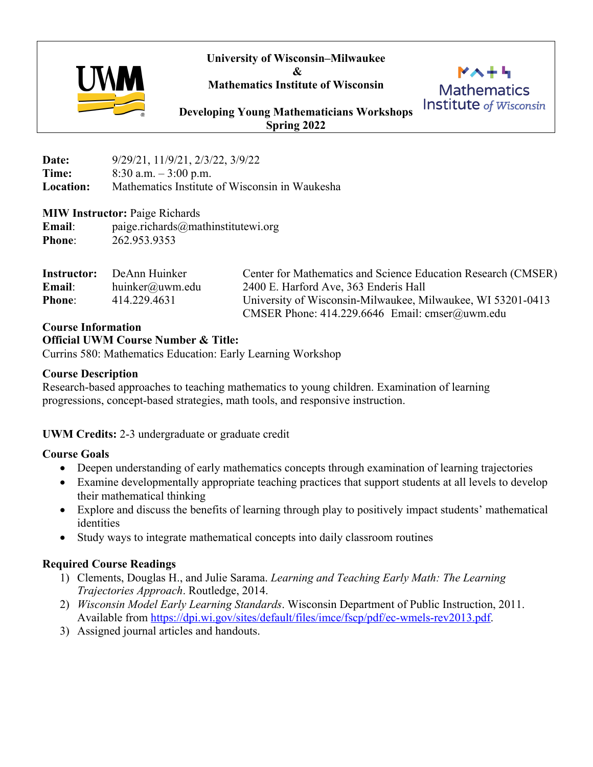**University of Wisconsin–Milwaukee**

**&** 

**Mathematics Institute of Wisconsin** 



 $M \wedge + I$ **Mathematics Institute** of Wisconsin

**Developing Young Mathematicians Workshops Spring 2022**

**Date:** 9/29/21, 11/9/21, 2/3/22, 3/9/22 **Time:** 8:30 a.m. – 3:00 p.m. **Location:** Mathematics Institute of Wisconsin in Waukesha

### **MIW Instructor:** Paige Richards

**Email**: paige.richards@mathinstitutewi.org **Phone**: 262.953.9353

| Instructor:   | DeAnn Huinker   | Center for Mathematics and Science Education Research (CMSER) |  |  |  |
|---------------|-----------------|---------------------------------------------------------------|--|--|--|
| Email:        | huinker@uwm.edu | 2400 E. Harford Ave, 363 Enderis Hall                         |  |  |  |
| <b>Phone:</b> | 414.229.4631    | University of Wisconsin-Milwaukee, Milwaukee, WI 53201-0413   |  |  |  |
|               |                 | CMSER Phone: $414.229.6646$ Email: cmser@uwm.edu              |  |  |  |

## **Course Information**

## **Official UWM Course Number & Title:**

Currins 580: Mathematics Education: Early Learning Workshop

## **Course Description**

Research-based approaches to teaching mathematics to young children. Examination of learning progressions, concept-based strategies, math tools, and responsive instruction.

## **UWM Credits:** 2-3 undergraduate or graduate credit

## **Course Goals**

- Deepen understanding of early mathematics concepts through examination of learning trajectories
- Examine developmentally appropriate teaching practices that support students at all levels to develop their mathematical thinking
- Explore and discuss the benefits of learning through play to positively impact students' mathematical identities
- Study ways to integrate mathematical concepts into daily classroom routines

## **Required Course Readings**

- 1) Clements, Douglas H., and Julie Sarama. *Learning and Teaching Early Math: The Learning Trajectories Approach*. Routledge, 2014.
- 2) *Wisconsin Model Early Learning Standards*. Wisconsin Department of Public Instruction, 2011. Available from https://dpi.wi.gov/sites/default/files/imce/fscp/pdf/ec-wmels-rev2013.pdf.
- 3) Assigned journal articles and handouts.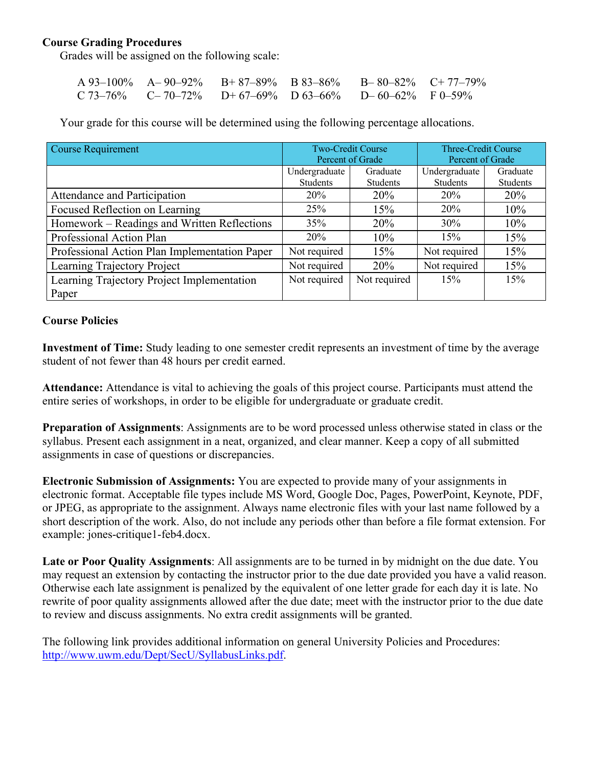### **Course Grading Procedures**

Grades will be assigned on the following scale:

| $A\,93-100\%$ $A-90-92\%$ $B+87-89\%$ $B\,83-86\%$ $B-80-82\%$ $C+77-79\%$ |  |  |
|----------------------------------------------------------------------------|--|--|
| $C$ 73–76% $C$ –70–72% $D+67$ –69% $D$ 63–66% $D-60$ –62% F 0–59%          |  |  |

Your grade for this course will be determined using the following percentage allocations.

| <b>Course Requirement</b>                     | <b>Two-Credit Course</b> |                 | Three-Credit Course |          |
|-----------------------------------------------|--------------------------|-----------------|---------------------|----------|
|                                               | Percent of Grade         |                 | Percent of Grade    |          |
|                                               | Undergraduate            | Graduate        | Undergraduate       | Graduate |
|                                               | <b>Students</b>          | <b>Students</b> | <b>Students</b>     | Students |
| Attendance and Participation                  | 20%                      | 20%             | 20%                 | 20%      |
| Focused Reflection on Learning                | 25%                      | 15%             | 20%                 | 10%      |
| Homework – Readings and Written Reflections   | 35%                      | 20%             | 30%                 | 10%      |
| Professional Action Plan                      | 20%                      | 10%             | 15%                 | 15%      |
| Professional Action Plan Implementation Paper | Not required             | 15%             | Not required        | 15%      |
| Learning Trajectory Project                   | Not required             | 20%             | Not required        | 15%      |
| Learning Trajectory Project Implementation    | Not required             | Not required    | 15%                 | 15%      |
| Paper                                         |                          |                 |                     |          |

#### **Course Policies**

**Investment of Time:** Study leading to one semester credit represents an investment of time by the average student of not fewer than 48 hours per credit earned.

**Attendance:** Attendance is vital to achieving the goals of this project course. Participants must attend the entire series of workshops, in order to be eligible for undergraduate or graduate credit.

**Preparation of Assignments**: Assignments are to be word processed unless otherwise stated in class or the syllabus. Present each assignment in a neat, organized, and clear manner. Keep a copy of all submitted assignments in case of questions or discrepancies.

**Electronic Submission of Assignments:** You are expected to provide many of your assignments in electronic format. Acceptable file types include MS Word, Google Doc, Pages, PowerPoint, Keynote, PDF, or JPEG, as appropriate to the assignment. Always name electronic files with your last name followed by a short description of the work. Also, do not include any periods other than before a file format extension. For example: jones-critique1-feb4.docx.

**Late or Poor Quality Assignments**: All assignments are to be turned in by midnight on the due date. You may request an extension by contacting the instructor prior to the due date provided you have a valid reason. Otherwise each late assignment is penalized by the equivalent of one letter grade for each day it is late. No rewrite of poor quality assignments allowed after the due date; meet with the instructor prior to the due date to review and discuss assignments. No extra credit assignments will be granted.

The following link provides additional information on general University Policies and Procedures: http://www.uwm.edu/Dept/SecU/SyllabusLinks.pdf.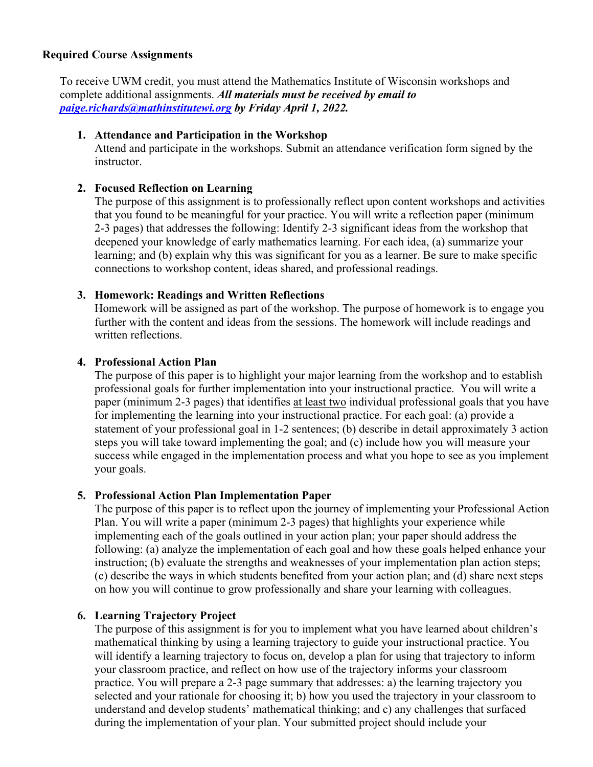#### **Required Course Assignments**

To receive UWM credit, you must attend the Mathematics Institute of Wisconsin workshops and complete additional assignments. *All materials must be received by email to paige.richards@mathinstitutewi.org by Friday April 1, 2022.*

#### **1. Attendance and Participation in the Workshop**

Attend and participate in the workshops. Submit an attendance verification form signed by the instructor.

### **2. Focused Reflection on Learning**

The purpose of this assignment is to professionally reflect upon content workshops and activities that you found to be meaningful for your practice. You will write a reflection paper (minimum 2-3 pages) that addresses the following: Identify 2-3 significant ideas from the workshop that deepened your knowledge of early mathematics learning. For each idea, (a) summarize your learning; and (b) explain why this was significant for you as a learner. Be sure to make specific connections to workshop content, ideas shared, and professional readings.

## **3. Homework: Readings and Written Reflections**

Homework will be assigned as part of the workshop. The purpose of homework is to engage you further with the content and ideas from the sessions. The homework will include readings and written reflections.

### **4. Professional Action Plan**

The purpose of this paper is to highlight your major learning from the workshop and to establish professional goals for further implementation into your instructional practice. You will write a paper (minimum 2-3 pages) that identifies at least two individual professional goals that you have for implementing the learning into your instructional practice. For each goal: (a) provide a statement of your professional goal in 1-2 sentences; (b) describe in detail approximately 3 action steps you will take toward implementing the goal; and (c) include how you will measure your success while engaged in the implementation process and what you hope to see as you implement your goals.

# **5. Professional Action Plan Implementation Paper**

The purpose of this paper is to reflect upon the journey of implementing your Professional Action Plan. You will write a paper (minimum 2-3 pages) that highlights your experience while implementing each of the goals outlined in your action plan; your paper should address the following: (a) analyze the implementation of each goal and how these goals helped enhance your instruction; (b) evaluate the strengths and weaknesses of your implementation plan action steps; (c) describe the ways in which students benefited from your action plan; and (d) share next steps on how you will continue to grow professionally and share your learning with colleagues.

## **6. Learning Trajectory Project**

The purpose of this assignment is for you to implement what you have learned about children's mathematical thinking by using a learning trajectory to guide your instructional practice. You will identify a learning trajectory to focus on, develop a plan for using that trajectory to inform your classroom practice, and reflect on how use of the trajectory informs your classroom practice. You will prepare a 2-3 page summary that addresses: a) the learning trajectory you selected and your rationale for choosing it; b) how you used the trajectory in your classroom to understand and develop students' mathematical thinking; and c) any challenges that surfaced during the implementation of your plan. Your submitted project should include your